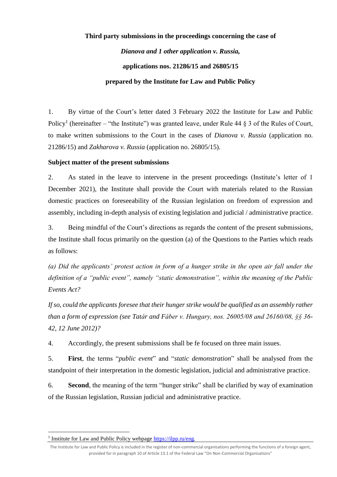# **Third party submissions in the proceedings concerning the case of** *Dianova and 1 other application v. Russia,*  **applications nos. 21286/15 and 26805/15 prepared by the Institute for Law and Public Policy**

1. By virtue of the Court's letter dated 3 February 2022 the Institute for Law and Public Policy<sup>1</sup> (hereinafter – "the Institute") was granted leave, under Rule 44  $\S$  3 of the Rules of Court, to make written submissions to the Court in the cases of *Dianova v. Russia* (application no. 21286/15) and *Zakharova v. Russia* (application no. 26805/15).

### **Subject matter of the present submissions**

2. As stated in the leave to intervene in the present proceedings (Institute's letter of 1 December 2021), the Institute shall provide the Court with materials related to the Russian domestic practices on foreseeability of the Russian legislation on freedom of expression and assembly, including in-depth analysis of existing legislation and judicial / administrative practice.

3. Being mindful of the Court's directions as regards the content of the present submissions, the Institute shall focus primarily on the question (a) of the Questions to the Parties which reads as follows:

*(a) Did the applicants' protest action in form of a hunger strike in the open air fall under the definition of a "public event", namely "static demonstration", within the meaning of the Public Events Act?* 

*If so, could the applicants foresee that their hunger strike would be qualified as an assembly rather than a form of expression (see Tatár and Fáber v. Hungary, nos. 26005/08 and 26160/08, §§ 36- 42, 12 June 2012)?* 

4. Accordingly, the present submissions shall be fe focused on three main issues.

5. **First**, the terms "*public event*" and "*static demonstration*" shall be analysed from the standpoint of their interpretation in the domestic legislation, judicial and administrative practice.

6. **Second**, the meaning of the term "hunger strike" shall be clarified by way of examination of the Russian legislation, Russian judicial and administrative practice.

 $\overline{\phantom{a}}$ 

<sup>&</sup>lt;sup>1</sup> Institute for Law and Public Policy webpage [https://ilpp.ru/eng.](https://ilpp.ru/eng)

The Institute for Law and Public Policy is included in the register of non-commercial organisations performing the functions of a foreign agent, provided for in paragraph 10 of Article 13.1 of the Federal Law "On Non-Commercial Organisations"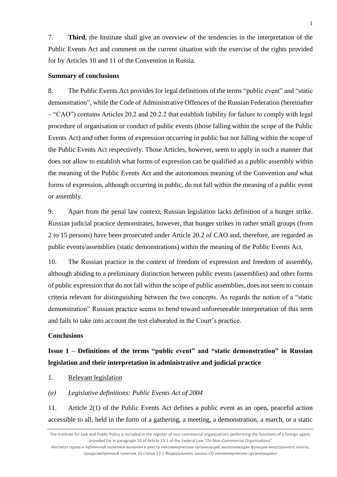7. **Third**, the Institute shall give an overview of the tendencies in the interpretation of the Public Events Act and comment on the current situation with the exercise of the rights provided for by Articles 10 and 11 of the Convention in Russia.

#### **Summary of conclusions**

8. The Public Events Act provides for legal definitions of the terms "public event" and "static demonstration", while the Code of Administrative Offences of the Russian Federation (hereinafter – "CAO") contains Articles 20.2 and 20.2.2 that establish liability for failure to comply with legal procedure of organisation or conduct of public events (those falling within the scope of the Public Events Act) *and* other forms of expression occurring in public but not falling within the scope of the Public Events Act respectively. Those Articles, however, seem to apply in such a manner that does not allow to establish what forms of expression can be qualified as a public assembly within the meaning of the Public Events Act and the autonomous meaning of the Convention *and* what forms of expression, although occurring in public, do not fall within the meaning of a public event or assembly.

9. Apart from the penal law context, Russian legislation lacks definition of a hunger strike. Russian judicial practice demonstrates, however, that hunger strikes in rather small groups (from 2 to 15 persons) have been prosecuted under Article 20.2 of CAO and, therefore, are regarded as public events/assemblies (static demonstrations) within the meaning of the Public Events Act.

10. The Russian practice in the context of freedom of expression and freedom of assembly, although abiding to a preliminary distinction between public events (assemblies) and other forms of public expression that do not fall within the scope of public assemblies, does not seem to contain criteria relevant for distinguishing between the two concepts. As regards the notion of a "static demonstration" Russian practice seems to bend toward unforeseeable interpretation of this term and fails to take into account the test elaborated in the Court's practice.

#### **Conclusions**

**Issue 1 – Definitions of the terms "public event" and "static demonstration" in Russian legislation and their interpretation in administrative and judicial practice** 

- 1. Relevant legislation
- *(a) Legislative definitions: Public Events Act of 2004*

11. Article 2(1) of the Public Events Act defines a public event as an open, peaceful action accessible to all, held in the form of a gathering, a meeting, a demonstration, a march, or a static

Институт права и публичной политики включён в реестр некоммерческих организаций, выполняющих функции иностранного агента, предусмотренный пунктом 10 статьи 13.1 Федерального закона «О некоммерческих организациях»

The Institute for Law and Public Policy is included in the register of non-commercial organisations performing the functions of a foreign agent, provided for in paragraph 10 of Article 13.1 of the Federal Law "On Non-Commercial Organisations"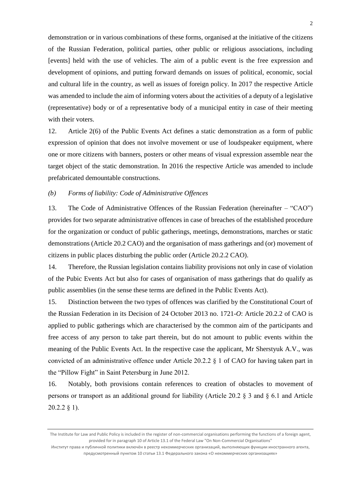demonstration or in various combinations of these forms, organised at the initiative of the citizens of the Russian Federation, political parties, other public or religious associations, including [events] held with the use of vehicles. The aim of a public event is the free expression and development of opinions, and putting forward demands on issues of political, economic, social and cultural life in the country, as well as issues of foreign policy. In 2017 the respective Article was amended to include the aim of informing voters about the activities of a deputy of a legislative (representative) body or of a representative body of a municipal entity in case of their meeting with their voters.

12. Article 2(6) of the Public Events Act defines a static demonstration as a form of public expression of opinion that does not involve movement or use of loudspeaker equipment, where one or more citizens with banners, posters or other means of visual expression assemble near the target object of the static demonstration. In 2016 the respective Article was amended to include prefabricated demountable constructions.

#### *(b) Forms of liability: Code of Administrative Offences*

13. The Code of Administrative Offences of the Russian Federation (hereinafter – "CAO") provides for two separate administrative offences in case of breaches of the established procedure for the organization or conduct of public gatherings, meetings, demonstrations, marches or static demonstrations (Article 20.2 CAO) and the organisation of mass gatherings and (or) movement of citizens in public places disturbing the public order (Article 20.2.2 CAO).

14. Therefore, the Russian legislation contains liability provisions not only in case of violation of the Pubic Events Act but also for cases of organisation of mass gatherings that do qualify as public assemblies (in the sense these terms are defined in the Public Events Act).

15. Distinction between the two types of offences was clarified by the Constitutional Court of the Russian Federation in its Decision of 24 October 2013 no. 1721-*O*: Article 20.2.2 of CAO is applied to public gatherings which are characterised by the common aim of the participants and free access of any person to take part therein, but do not amount to public events within the meaning of the Public Events Act. In the respective case the applicant, Mr Sherstyuk A.V., was convicted of an administrative offence under Article 20.2.2 § 1 of CAO for having taken part in the "Pillow Fight" in Saint Petersburg in June 2012.

16. Notably, both provisions contain references to creation of obstacles to movement of persons or transport as an additional ground for liability (Article 20.2 § 3 and § 6.1 and Article 20.2.2 § 1).

The Institute for Law and Public Policy is included in the register of non-commercial organisations performing the functions of a foreign agent, provided for in paragraph 10 of Article 13.1 of the Federal Law "On Non-Commercial Organisations"

Институт права и публичной политики включён в реестр некоммерческих организаций, выполняющих функции иностранного агента, предусмотренный пунктом 10 статьи 13.1 Федерального закона «О некоммерческих организациях»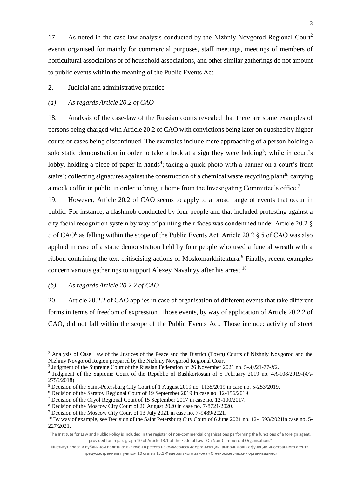17. As noted in the case-law analysis conducted by the Nizhniy Novgorod Regional Court<sup>2</sup> events organised for mainly for commercial purposes, staff meetings, meetings of members of horticultural associations or of household associations, and other similar gatherings do not amount to public events within the meaning of the Public Events Act.

#### 2. Judicial and administrative practice

#### *(a) As regards Article 20.2 of CAO*

18. Analysis of the case-law of the Russian courts revealed that there are some examples of persons being charged with Article 20.2 of CAO with convictions being later on quashed by higher courts or cases being discontinued. The examples include mere approaching of a person holding a solo static demonstration in order to take a look at a sign they were holding<sup>3</sup>; while in court's lobby, holding a piece of paper in hands<sup>4</sup>; taking a quick photo with a banner on a court's front stairs<sup>5</sup>; collecting signatures against the construction of a chemical waste recycling plant<sup>6</sup>; carrying a mock coffin in public in order to bring it home from the Investigating Committee's office.<sup>7</sup>

19. However, Article 20.2 of CAO seems to apply to a broad range of events that occur in public. For instance, a flashmob conducted by four people and that included protesting against a city facial recognition system by way of painting their faces was condemned under Article 20.2 § 5 of  $CAO^8$  as falling within the scope of the Public Events Act. Article 20.2 § 5 of CAO was also applied in case of a static demonstration held by four people who used a funeral wreath with a ribbon containing the text critiscising actions of Moskomarkhitektura.<sup>9</sup> Finally, recent examples concern various gatherings to support Alexey Navalnyy after his arrest.<sup>10</sup>

#### *(b) As regards Article 20.2.2 of CAO*

1

20. Article 20.2.2 of CAO applies in case of organisation of different events that take different forms in terms of freedom of expression. Those events, by way of application of Article 20.2.2 of CAO, did not fall within the scope of the Public Events Act. Those include: activity of street

<sup>&</sup>lt;sup>2</sup> Analysis of Case Law of the Justices of the Peace and the District (Town) Courts of Nizhniy Novgorod and the Nizhniy Novgorod Region prepared by the Nizhniy Novgorod Regional Court.

<sup>3</sup> Judgment of the Supreme Court of the Russian Federation of 26 November 2021 no. 5-*АД*21-77-*К*2.

<sup>4</sup> Judgment of the Supreme Court of the Republic of Bashkortostan of 5 February 2019 no. 4*A*-108/2019-(4*A*-2755/2018).

<sup>5</sup> Decision of the Saint-Petersburg City Court of 1 August 2019 no. 1135/2019 in case no. 5-253/2019.

<sup>6</sup> Decision of the Saratov Regional Court of 19 September 2019 in case no. 12-156/2019.

<sup>7</sup> Decision of the Oryol Regional Court of 15 September 2017 in case no. 12-100/2017.

<sup>8</sup> Decision of the Moscow City Court of 26 August 2020 in case no. 7-8721/2020.

<sup>9</sup> Decision of the Moscow City Court of 13 July 2021 in case no. 7-9489/2021.

<sup>&</sup>lt;sup>10</sup> By way of example, see Decision of the Saint Petersburg City Court of 6 June 2021 no. 12-1593/2021in case no. 5-227/2021.

The Institute for Law and Public Policy is included in the register of non-commercial organisations performing the functions of a foreign agent, provided for in paragraph 10 of Article 13.1 of the Federal Law "On Non-Commercial Organisations"

Институт права и публичной политики включён в реестр некоммерческих организаций, выполняющих функции иностранного агента, предусмотренный пунктом 10 статьи 13.1 Федерального закона «О некоммерческих организациях»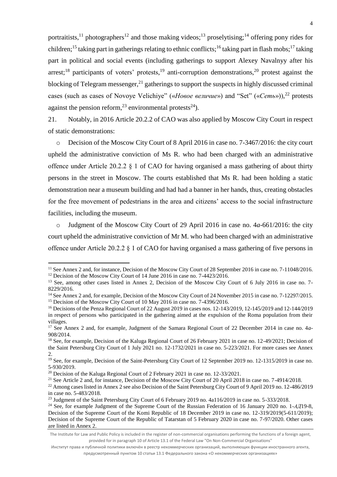portraitists,<sup>11</sup> photographers<sup>12</sup> and those making videos;<sup>13</sup> proselytising;<sup>14</sup> offering pony rides for children;<sup>15</sup> taking part in gatherings relating to ethnic conflicts;<sup>16</sup> taking part in flash mobs;<sup>17</sup> taking part in political and social events (including gatherings to support Alexey Navalnyy after his arrest;<sup>18</sup> participants of voters' protests,<sup>19</sup> anti-corruption demonstrations,<sup>20</sup> protest against the blocking of Telegram messenger,<sup>21</sup> gatherings to support the suspects in highly discussed criminal cases (such as cases of Novoye Velichiye" («*Новое величие*») and "Set" («*Сеть*»)), <sup>22</sup> protests against the pension reform,<sup>23</sup> environmental protests<sup>24</sup>).

21. Notably, in 2016 Article 20.2.2 of CAO was also applied by Moscow City Court in respect of static demonstrations:

o Decision of the Moscow City Court of 8 April 2016 in case no. 7-3467/2016: the city court upheld the administrative conviction of Ms R. who had been charged with an administrative offence under Article 20.2.2 § 1 of CAO for having organised a mass gathering of about thirty persons in the street in Moscow. The courts established that Ms R. had been holding a static demonstration near a museum building and had had a banner in her hands, thus, creating obstacles for the free movement of pedestrians in the area and citizens' access to the social infrastructure facilities, including the museum.

o Judgment of the Moscow City Court of 29 April 2016 in case no. 4*a-*661/2016: the city court upheld the administrative conviction of Mr M. who had been charged with an administrative offence under Article 20.2.2 § 1 of CAO for having organised a mass gathering of five persons in

1

<sup>&</sup>lt;sup>11</sup> See Annex 2 and, for instance, Decision of the Moscow City Court of 28 September 2016 in case no. 7-11048/2016. <sup>12</sup> Decision of the Moscow City Court of 14 June 2016 in case no. 7-4423/2016.

<sup>&</sup>lt;sup>13</sup> See, among other cases listed in Annex 2, Decision of the Moscow City Court of 6 July 2016 in case no. 7-

<sup>8229/2016.</sup>

<sup>&</sup>lt;sup>14</sup> See Annex 2 and, for example, Decision of the Moscow City Court of 24 November 2015 in case no. 7-12297/2015. <sup>15</sup> Decision of the Moscow City Court of 10 May 2016 in case no. 7-4396/2016.

<sup>16</sup> Decisions of the Penza Regional Court of 22 August 2019 in cases nos. 12-143/2019, 12-145/2019 and 12-144/2019 in respect of persons who participated in the gathering aimed at the expulsion of the Roma population from their villages.

<sup>&</sup>lt;sup>17</sup> See Annex 2 and, for example, Judgment of the Samara Regional Court of 22 December 2014 in case no. 4*a*-908/2014.

<sup>&</sup>lt;sup>18</sup> See, for example, Decision of the Kaluga Regional Court of 26 February 2021 in case no. 12-49/2021; Decision of the Saint Petersburg City Court of 1 July 2021 no. 12-1732/2021 in case no. 5-223/2021. For more cases see Annex 2.

<sup>&</sup>lt;sup>19</sup> See, for example, Decision of the Saint-Petersburg City Court of 12 September 2019 no. 12-1315/2019 in case no. 5-930/2019.

<sup>&</sup>lt;sup>20</sup> Decision of the Kaluga Regional Court of 2 February 2021 in case no. 12-33/2021.

<sup>&</sup>lt;sup>21</sup> See Article 2 and, for instance, Decision of the Moscow City Court of 20 April 2018 in case no. 7-4914/2018.

<sup>&</sup>lt;sup>22</sup> Among cases listed in Annex 2 see also Decision of the Saint Petersburg City Court of 9 April 2019 no. 12-486/2019 in case no. 5-483/2018.

<sup>&</sup>lt;sup>23</sup> Judgment of the Saint Petersburg City Court of 6 February 2019 no. 4a116/2019 in case no. 5-333/2018.

<sup>24</sup> See, for example Judgment of the Supreme Court of the Russian Federation of 16 January 2020 no. 1-*АД*19-8, Decision of the Supreme Court of the Komi Republic of 18 December 2019 in case no. 12-319/2019(5-611/2019); Decision of the Supreme Court of the Republic of Tatarstan of 5 February 2020 in case no. 7-97/2020. Other cases are listed in Annex 2.

The Institute for Law and Public Policy is included in the register of non-commercial organisations performing the functions of a foreign agent, provided for in paragraph 10 of Article 13.1 of the Federal Law "On Non-Commercial Organisations"

Институт права и публичной политики включён в реестр некоммерческих организаций, выполняющих функции иностранного агента, предусмотренный пунктом 10 статьи 13.1 Федерального закона «О некоммерческих организациях»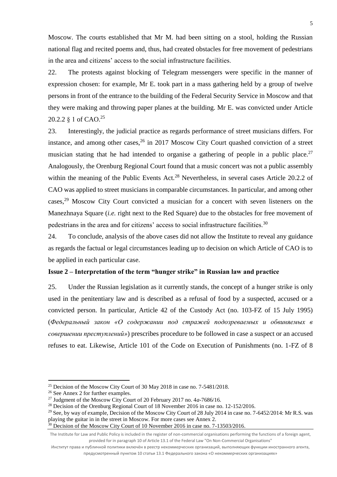Moscow. The courts established that Mr M. had been sitting on a stool, holding the Russian national flag and recited poems and, thus, had created obstacles for free movement of pedestrians in the area and citizens' access to the social infrastructure facilities.

22. The protests against blocking of Telegram messengers were specific in the manner of expression chosen: for example, Mr E. took part in a mass gathering held by a group of twelve persons in front of the entrance to the building of the Federal Security Service in Moscow and that they were making and throwing paper planes at the building. Mr E. was convicted under Article 20.2.2 § 1 of CAO.<sup>25</sup>

23. Interestingly, the judicial practice as regards performance of street musicians differs. For instance, and among other cases,  $26$  in 2017 Moscow City Court quashed conviction of a street musician stating that he had intended to organise a gathering of people in a public place.<sup>27</sup> Analogously, the Orenburg Regional Court found that a music concert was not a public assembly within the meaning of the Public Events Act.<sup>28</sup> Nevertheless, in several cases Article 20.2.2 of CAO was applied to street musicians in comparable circumstances. In particular, and among other cases,<sup>29</sup> Moscow City Court convicted a musician for a concert with seven listeners on the Manezhnaya Square (*i.e.* right next to the Red Square) due to the obstacles for free movement of pedestrians in the area and for citizens' access to social infrastructure facilities.<sup>30</sup>

24. To conclude, analysis of the above cases did not allow the Institute to reveal any guidance as regards the factual or legal circumstances leading up to decision on which Article of CAO is to be applied in each particular case.

#### **Issue 2 – Interpretation of the term "hunger strike" in Russian law and practice**

25. Under the Russian legislation as it currently stands, the concept of a hunger strike is only used in the penitentiary law and is described as a refusal of food by a suspected, accused or a convicted person. In particular, Article 42 of the Custody Act (no. 103-FZ of 15 July 1995) (*Федеральный закон «О содержании под стражей подозреваемых и обвиняемых в совершении преступлений»*) prescribes procedure to be followed in case a suspect or an accused refuses to eat. Likewise, Article 101 of the Code on Execution of Punishments (no. 1-FZ of 8

**.** 

<sup>&</sup>lt;sup>25</sup> Decision of the Moscow City Court of 30 May 2018 in case no. 7-5481/2018.

 $26$  See Annex 2 for further examples.

<sup>27</sup> Judgment of the Moscow City Court of 20 February 2017 no. 4*a*-7686/16.

<sup>&</sup>lt;sup>28</sup> Decision of the Orenburg Regional Court of 18 November 2016 in case no. 12-152/2016.

<sup>&</sup>lt;sup>29</sup> See, by way of example, Decision of the Moscow City Court of 28 July 2014 in case no. 7-6452/2014: Mr R.S. was playing the guitar in in the street in Moscow. For more cases see Annex 2.

 $\frac{30}{30}$  Decision of the Moscow City Court of 10 November 2016 in case no. 7-13503/2016.

The Institute for Law and Public Policy is included in the register of non-commercial organisations performing the functions of a foreign agent, provided for in paragraph 10 of Article 13.1 of the Federal Law "On Non-Commercial Organisations"

Институт права и публичной политики включён в реестр некоммерческих организаций, выполняющих функции иностранного агента, предусмотренный пунктом 10 статьи 13.1 Федерального закона «О некоммерческих организациях»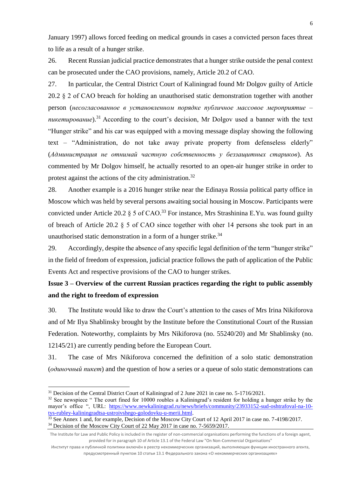January 1997) allows forced feeding on medical grounds in cases a convicted person faces threat to life as a result of a hunger strike.

26. Recent Russian judicial practice demonstrates that a hunger strike outside the penal context can be prosecuted under the CAO provisions, namely, Article 20.2 of CAO.

27. In particular, the Central District Court of Kaliningrad found Mr Dolgov guilty of Article 20.2 § 2 of CAO breach for holding an unauthorised static demonstration together with another person (*несогласованное в установленном порядке публичное массовое мероприятие – пикетирование*).<sup>31</sup> According to the court's decision, Mr Dolgov used a banner with the text "Hunger strike" and his car was equipped with a moving message display showing the following text – "Administration, do not take away private property from defenseless elderly" (*Администрация не отнимай частную собственность у беззащитных стариков*). As commented by Mr Dolgov himself, he actually resorted to an open-air hunger strike in order to protest against the actions of the city administration.<sup>32</sup>

28. Another example is a 2016 hunger strike near the Edinaya Rossia political party office in Moscow which was held by several persons awaiting social housing in Moscow. Participants were convicted under Article 20.2  $\S$  5 of CAO.<sup>33</sup> For instance, Mrs Strashinina E.Yu. was found guilty of breach of Article 20.2 § 5 of CAO since together with oher 14 persons she took part in an unauthorised static demonstration in a form of a hunger strike.<sup>34</sup>

29. Accordingly, despite the absence of any specific legal definition of the term "hunger strike" in the field of freedom of expression, judicial practice follows the path of application of the Public Events Act and respective provisions of the CAO to hunger strikes.

# **Issue 3 – Overview of the current Russian practices regarding the right to public assembly and the right to freedom of expression**

30. The Institute would like to draw the Court's attention to the cases of Mrs Irina Nikiforova and of Mr Ilya Shablinsky brought by the Institute before the Constitutional Court of the Russian Federation. Noteworthy, complaints by Mrs Nikiforova (no. 55240/20) and Mr Shablinsky (no. 12145/21) are currently pending before the European Court.

31. The case of Mrs Nikiforova concerned the definition of a solo static demonstration (*одиночный пикет*) and the question of how a series or a queue of solo static demonstrations can

1

<sup>&</sup>lt;sup>31</sup> Decision of the Central District Court of Kaliningrad of 2 June 2021 in case no. 5-1716/2021.

 $32$  See newspiece " The court fined for 10000 roubles a Kaliningrad's resident for holding a hunger strike by the mayor's office ", URL: [https://www.newkaliningrad.ru/news/briefs/community/23933152-sud-oshtrafoval-na-10](https://www.newkaliningrad.ru/news/briefs/community/23933152-sud-oshtrafoval-na-10-tys-rubley-kaliningradtsa-ustroivshego-golodovku-u-merii.html) [tys-rubley-kaliningradtsa-ustroivshego-golodovku-u-merii.html.](https://www.newkaliningrad.ru/news/briefs/community/23933152-sud-oshtrafoval-na-10-tys-rubley-kaliningradtsa-ustroivshego-golodovku-u-merii.html)

<sup>&</sup>lt;sup>33</sup> See Annex 1 and, for example, Decision of the Moscow City Court of 12 April 2017 in case no. 7-4198/2017. <sup>34</sup> Decision of the Moscow City Court of 22 May 2017 in case no. 7-5659/2017.

The Institute for Law and Public Policy is included in the register of non-commercial organisations performing the functions of a foreign agent, provided for in paragraph 10 of Article 13.1 of the Federal Law "On Non-Commercial Organisations"

Институт права и публичной политики включён в реестр некоммерческих организаций, выполняющих функции иностранного агента, предусмотренный пунктом 10 статьи 13.1 Федерального закона «О некоммерческих организациях»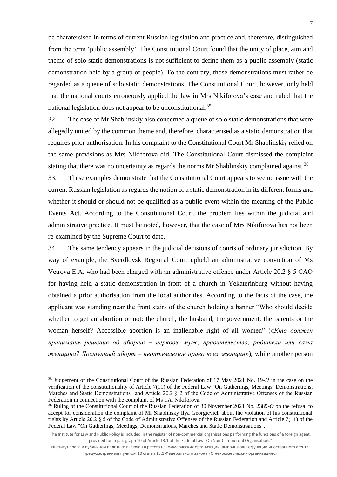be charatersised in terms of current Russian legislation and practice and, therefore, distinguished from the term 'public assembly'. The Constitutional Court found that the unity of place, aim and theme of solo static demonstrations is not sufficient to define them as a public assembly (static demonstration held by a group of people). To the contrary, those demonstrations must rather be regarded as a queue of solo static demonstrations. The Constitutional Court, however, only held that the national courts erroneously applied the law in Mrs Nikiforova's case and ruled that the national legislation does not appear to be unconstitutional.<sup>35</sup>

32. The case of Mr Shablinskiy also concerned a queue of solo static demonstrations that were allegedly united by the common theme and, therefore, characterised as a static demonstration that requires prior authorisation. In his complaint to the Constitutional Court Mr Shablinskiy relied on the same provisions as Mrs Nikiforova did. The Constitutional Court dismissed the complaint stating that there was no uncertainty as regards the norms Mr Shablinskiy complained against.<sup>36</sup>

33. These examples demonstrate that the Constitutional Court appears to see no issue with the current Russian legislation as regards the notion of a static demonstration in its different forms and whether it should or should not be qualified as a public event within the meaning of the Public Events Act. According to the Constitutional Court, the problem lies within the judicial and administrative practice. It must be noted, however, that the case of Mrs Nikiforova has not been re-examined by the Supreme Court to date.

34. The same tendency appears in the judicial decisions of courts of ordinary jurisdiction. By way of example, the Sverdlovsk Regional Court upheld an administrative conviction of Ms Vetrova E.A. who had been charged with an administrative offence under Article 20.2 § 5 CAO for having held a static demonstration in front of a church in Yekaterinburg without having obtained a prior authorisation from the local authorities. According to the facts of the case, the applicant was standing near the front stairs of the church holding a banner "Who should decide whether to get an abortion or not: the church, the husband, the government, the parents or the woman herself? Accessible abortion is an inalienable right of all women" («*Кто должен принимать решение об аборте – церковь, муж, правительство, родители или сама женщина? Доступный аборт – неотъемлемое право всех женщин»*), while another person

**.** 

<sup>35</sup> Judgement of the Constitutional Court of the Russian Federation of 17 May 2021 No. 19-*П* in the case on the verification of the constitutionality of Article 7(11) of the Federal Law "On Gatherings, Meetings, Demonstrations, Marches and Static Demonstrations" and Article 20.2 § 2 of the Code of Administrative Offenses of the Russian Federation in connection with the complaint of Ms I.A. Nikiforova.

<sup>36</sup> Ruling of the Constitutional Court of the Russian Federation of 30 November 2021 No. 2389-*O* on the refusal to accept for consideration the complaint of Mr Shablinsky Ilya Georgievich about the violation of his constitutional rights by Article 20.2 § 5 of the Code of Administrative Offenses of the Russian Federation and Article 7(11) of the Federal Law "On Gatherings, Meetings, Demonstrations, Marches and Static Demonstrsations".

The Institute for Law and Public Policy is included in the register of non-commercial organisations performing the functions of a foreign agent, provided for in paragraph 10 of Article 13.1 of the Federal Law "On Non-Commercial Organisations"

Институт права и публичной политики включён в реестр некоммерческих организаций, выполняющих функции иностранного агента, предусмотренный пунктом 10 статьи 13.1 Федерального закона «О некоммерческих организациях»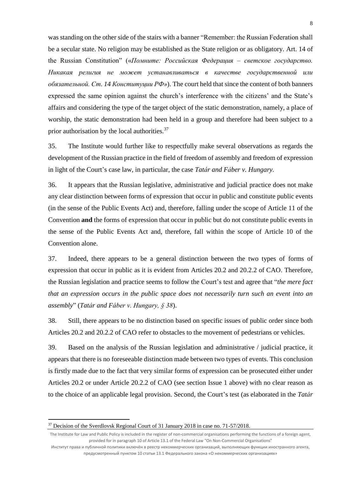was standing on the other side of the stairs with a banner "Remember: the Russian Federation shall be a secular state. No religion may be established as the State religion or as obligatory. Art. 14 of the Russian Constitution" («*Помните: Российская Федерация – светское государство. Никакая религия не может устанавливаться в качестве государственной или обязательной. Ст. 14 Конституции РФ»*). The court held that since the content of both banners expressed the same opinion against the church's interference with the citizens' and the State's affairs and considering the type of the target object of the static demonstration, namely, a place of worship, the static demonstration had been held in a group and therefore had been subject to a prior authorisation by the local authorities.<sup>37</sup>

35. The Institute would further like to respectfully make several observations as regards the development of the Russian practice in the field of freedom of assembly and freedom of expression in light of the Court's case law, in particular, the case *Tatár and Fáber v. Hungary.*

36. It appears that the Russian legislative, administrative and judicial practice does not make any clear distinction between forms of expression that occur in public and constitute public events (in the sense of the Public Events Act) and, therefore, falling under the scope of Article 11 of the Convention **and** the forms of expression that occur in public but do not constitute public events in the sense of the Public Events Act and, therefore, fall within the scope of Article 10 of the Convention alone.

37. Indeed, there appears to be a general distinction between the two types of forms of expression that occur in public as it is evident from Articles 20.2 and 20.2.2 of CAO. Therefore, the Russian legislation and practice seems to follow the Court's test and agree that "*the mere fact that an expression occurs in the public space does not necessarily turn such an event into an assembly*" (*Tatár and Fáber v. Hungary, § 38*).

38. Still, there appears to be no distinction based on specific issues of public order since both Articles 20.2 and 20.2.2 of CAO refer to obstacles to the movement of pedestrians or vehicles.

39. Based on the analysis of the Russian legislation and administrative / judicial practice, it appears that there is no foreseeable distinction made between two types of events. This conclusion is firstly made due to the fact that very similar forms of expression can be prosecuted either under Articles 20.2 or under Article 20.2.2 of CAO (see section Issue 1 above) with no clear reason as to the choice of an applicable legal provision. Second, the Court's test (as elaborated in the *Tatár* 

**.** 

<sup>&</sup>lt;sup>37</sup> Decision of the Sverdlovsk Regional Court of 31 January 2018 in case no. 71-57/2018.

The Institute for Law and Public Policy is included in the register of non-commercial organisations performing the functions of a foreign agent, provided for in paragraph 10 of Article 13.1 of the Federal Law "On Non-Commercial Organisations"

Институт права и публичной политики включён в реестр некоммерческих организаций, выполняющих функции иностранного агента, предусмотренный пунктом 10 статьи 13.1 Федерального закона «О некоммерческих организациях»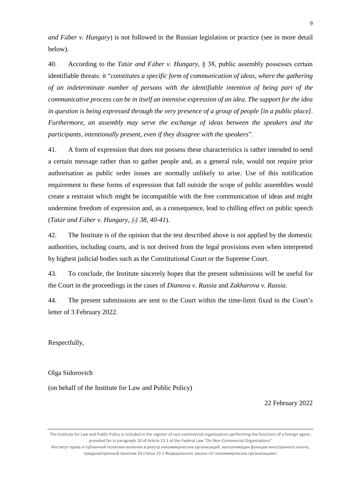*and Fáber v. Hungary*) is not followed in the Russian legislation or practice (see in more detail below).

40. According to the *Tatár and Fáber v. Hungary*, § 38, public assembly possesses certain identifiable threats: it "*constitutes a specific form of communication of ideas, where the gathering of an indeterminate number of persons with the identifiable intention of being part of the communicative process can be in itself an intensive expression of an idea. The support for the idea in question is being expressed through the very presence of a group of people [in a public place]. Furthermore, an assembly may serve the exchange of ideas between the speakers and the participants, intentionally present, even if they disagree with the speakers*".

41. A form of expression that does not possess these characteristics is rather intended to send a certain message rather than to gather people and, as a general rule, would not require prior authorisation as public order issues are normally unlikely to arise. Use of this notification requirement to these forms of expression that fall outside the scope of public assemblies would create a restraint which might be incompatible with the free communication of ideas and might undermine freedom of expression and, as a consequence, lead to chilling effect on public speech (*Tatár and Fáber v. Hungary, §§ 38, 40-41*).

42. The Institute is of the opinion that the test described above is not applied by the domestic authorities, including courts, and is not derived from the legal provisions even when interpreted by highest judicial bodies such as the Constitutional Court or the Supreme Court.

43. To conclude, the Institute sincerely hopes that the present submissions will be useful for the Court in the proceedings in the cases of *Dianova v. Russia* and *Zakharova v. Russia*.

44. The present submissions are sent to the Court within the time-limit fixed in the Court's letter of 3 February 2022.

Respectfully,

Olga Sidorovich

(on behalf of the Institute for Law and Public Policy)

22 February 2022

The Institute for Law and Public Policy is included in the register of non-commercial organisations performing the functions of a foreign agent, provided for in paragraph 10 of Article 13.1 of the Federal Law "On Non-Commercial Organisations"

Институт права и публичной политики включён в реестр некоммерческих организаций, выполняющих функции иностранного агента, предусмотренный пунктом 10 статьи 13.1 Федерального закона «О некоммерческих организациях»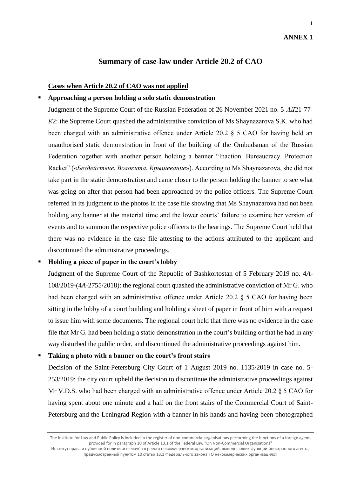# **ANNEX 1**

1

### **Summary of case-law under Article 20.2 of CAO**

#### **Cases when Article 20.2 of CAO was not applied**

#### ▪ **Approaching a person holding a solo static demonstration**

Judgment of the Supreme Court of the Russian Federation of 26 November 2021 no. 5-*АД*21-77- *К*2: the Supreme Court quashed the administrative conviction of Ms Shaynazarova S.K. who had been charged with an administrative offence under Article 20.2 § 5 CAO for having held an unauthorised static demonstration in front of the building of the Ombudsman of the Russian Federation together with another person holding a banner "Inaction. Bureaucracy. Protection Racket" («*Бездействие. Волокита. Крышевание*»). According to Ms Shaynazarova, she did not take part in the static demonstration and came closer to the person holding the banner to see what was going on after that person had been approached by the police officers. The Supreme Court referred in its judgment to the photos in the case file showing that Ms Shaynazarova had not been holding any banner at the material time and the lower courts' failure to examine her version of events and to summon the respective police officers to the hearings. The Supreme Court held that there was no evidence in the case file attesting to the actions attributed to the applicant and discontinued the administrative proceedings.

#### ▪ **Holding a piece of paper in the court's lobby**

Judgment of the Supreme Court of the Republic of Bashkortostan of 5 February 2019 no. 4*A*-108/2019-(4*A*-2755/2018): the regional court quashed the administrative conviction of Mr G. who had been charged with an administrative offence under Article 20.2 § 5 CAO for having been sitting in the lobby of a court building and holding a sheet of paper in front of him with a request to issue him with some documents. The regional court held that there was no evidence in the case file that Mr G. had been holding a static demonstration in the court's building or that he had in any way disturbed the public order, and discontinued the administrative proceedings against him.

#### ▪ **Taking a photo with a banner on the court's front stairs**

Decision of the Saint-Petersburg City Court of 1 August 2019 no. 1135/2019 in case no. 5- 253/2019: the city court upheld the decision to discontinue the administrative proceedings against Mr V.D.S. who had been charged with an administrative offence under Article 20.2 § 5 CAO for having spent about one minute and a half on the front stairs of the Commercial Court of Saint-Petersburg and the Leningrad Region with a banner in his hands and having been photographed

The Institute for Law and Public Policy is included in the register of non-commercial organisations performing the functions of a foreign agent, provided for in paragraph 10 of Article 13.1 of the Federal Law "On Non-Commercial Organisations" Институт права и публичной политики включён в реестр некоммерческих организаций, выполняющих функции иностранного агента, предусмотренный пунктом 10 статьи 13.1 Федерального закона «О некоммерческих организациях»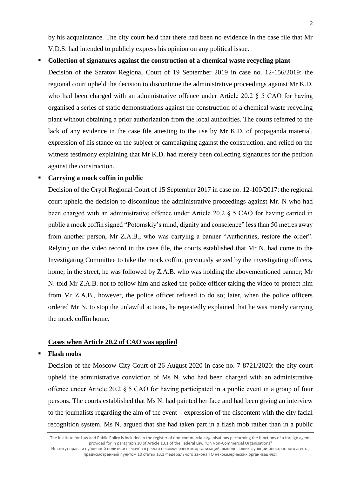by his acquaintance. The city court held that there had been no evidence in the case file that Mr V.D.S. had intended to publicly express his opinion on any political issue.

▪ **Collection of signatures against the construction of a chemical waste recycling plant** Decision of the Saratov Regional Court of 19 September 2019 in case no. 12-156/2019: the regional court upheld the decision to discontinue the administrative proceedings against Mr K.D. who had been charged with an administrative offence under Article 20.2 § 5 CAO for having organised a series of static demonstrations against the construction of a chemical waste recycling plant without obtaining a prior authorization from the local authorities. The courts referred to the lack of any evidence in the case file attesting to the use by Mr K.D. of propaganda material, expression of his stance on the subject or campaigning against the construction, and relied on the witness testimony explaining that Mr K.D. had merely been collecting signatures for the petition against the construction.

#### **Carrying a mock coffin in public**

Decision of the Oryol Regional Court of 15 September 2017 in case no. 12-100/2017: the regional court upheld the decision to discontinue the administrative proceedings against Mr. N who had been charged with an administrative offence under Article 20.2 § 5 CAO for having carried in public a mock coffin signed "Potomskiy's mind, dignity and conscience" less than 50 metres away from another person, Mr Z.A.B., who was carrying a banner "Authorities, restore the order". Relying on the video record in the case file, the courts established that Mr N. had come to the Investigating Committee to take the mock coffin, previously seized by the investigating officers, home; in the street, he was followed by Z.A.B. who was holding the abovementioned banner; Mr N. told Mr Z.A.B. not to follow him and asked the police officer taking the video to protect him from Mr Z.A.B., however, the police officer refused to do so; later, when the police officers ordered Mr N. to stop the unlawful actions, he repeatedly explained that he was merely carrying the mock coffin home.

#### **Cases when Article 20.2 of CAO was applied**

#### ▪ **Flash mobs**

Decision of the Moscow City Court of 26 August 2020 in case no. 7-8721/2020: the city court upheld the administrative conviction of Ms N. who had been charged with an administrative offence under Article 20.2 § 5 CAO for having participated in a public event in a group of four persons. The courts established that Ms N. had painted her face and had been giving an interview to the journalists regarding the aim of the event – expression of the discontent with the city facial recognition system. Ms N. argued that she had taken part in a flash mob rather than in a public

The Institute for Law and Public Policy is included in the register of non-commercial organisations performing the functions of a foreign agent, provided for in paragraph 10 of Article 13.1 of the Federal Law "On Non-Commercial Organisations" Институт права и публичной политики включён в реестр некоммерческих организаций, выполняющих функции иностранного агента, предусмотренный пунктом 10 статьи 13.1 Федерального закона «О некоммерческих организациях»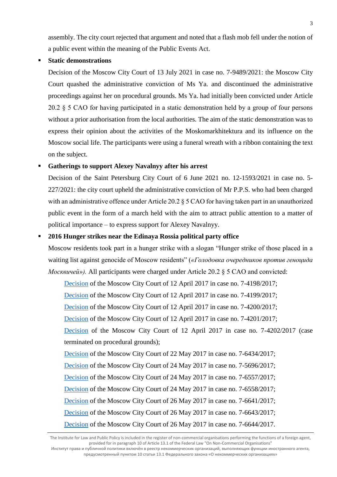assembly. The city court rejected that argument and noted that a flash mob fell under the notion of a public event within the meaning of the Public Events Act.

#### **Static demonstrations**

Decision of the Moscow City Court of 13 July 2021 in case no. 7-9489/2021: the Moscow City Court quashed the administrative conviction of Ms Ya. and discontinued the administrative proceedings against her on procedural grounds. Ms Ya. had initially been convicted under Article 20.2 § 5 CAO for having participated in a static demonstration held by a group of four persons without a prior authorisation from the local authorities. The aim of the static demonstration was to express their opinion about the activities of the Moskomarkhitektura and its influence on the Moscow social life. The participants were using a funeral wreath with a ribbon containing the text on the subject.

### Gatherings to support Alexey Navalnyy after his arrest

Decision of the Saint Petersburg City Court of 6 June 2021 no. 12-1593/2021 in case no. 5- 227/2021: the city court upheld the administrative conviction of Mr P.P.S. who had been charged with an administrative offence under Article 20.2 § 5 CAO for having taken part in an unauthorized public event in the form of a march held with the aim to attract public attention to a matter of political importance – to express support for Alexey Navalnyy.

#### ▪ **2016 Hunger strikes near the Edinaya Rossia political party office**

Moscow residents took part in a hunger strike with a slogan "Hunger strike of those placed in a waiting list against genocide of Moscow residents" (*«Голодовка очередников против геноцида Москвичей»).* All participants were charged under Article 20.2 § 5 CAO and convicted:

[Decision](https://mos-gorsud.ru/mgs/services/cases/review-not-yet/details/78862a1c-8890-4bbc-bd91-8626da2c1649) of the Moscow City Court of 12 April 2017 in case no. 7-4198/2017;

[Decision](https://mos-gorsud.ru/mgs/services/cases/review-not-yet/details/593e350e-e96c-4b9c-b897-598e5de7651b) of the Moscow City Court of 12 April 2017 in case no. 7-4199/2017;

[Decision](https://mos-gorsud.ru/mgs/services/cases/review-not-yet/details/7f4f9ef9-1c73-42a7-aaaf-a1f0d9232612) of the Moscow City Court of 12 April 2017 in case no. 7-4200/2017;

[Decision](https://mos-gorsud.ru/mgs/services/cases/review-not-yet/details/e99ed3ba-87bc-4ace-85db-133e12356295) of the Moscow City Court of 12 April 2017 in case no. 7-4201/2017;

[Decision](https://mos-gorsud.ru/mgs/services/cases/review-not-yet/details/fecf551f-3f2e-4583-b021-641dd786ec9f) of the Moscow City Court of 12 April 2017 in case no. 7-4202/2017 (case terminated on procedural grounds);

[Decision](https://mos-gorsud.ru/mgs/services/cases/review-not-yet/details/4de2c42e-ca7f-44d2-ac81-ec243f8fd501) of the Moscow City Court of 22 May 2017 in case no. 7-6434/2017;

[Decision](https://mos-gorsud.ru/mgs/services/cases/review-not-yet/details/9297b508-909d-4b0d-ace7-2898ceefe50f) of the Moscow City Court of 24 May 2017 in case no. 7-5696/2017;

[Decision](https://mos-gorsud.ru/mgs/services/cases/review-not-yet/details/cde0a435-3ced-4cee-89c4-f8597825e3a0) of the Moscow City Court of 24 May 2017 in case no. 7-6557/2017;

[Decision](https://mos-gorsud.ru/mgs/services/cases/review-not-yet/details/45a4ea60-ed32-48f4-98a8-1d91075629c3) of the Moscow City Court of 24 May 2017 in case no. 7-6558/2017;

[Decision](https://mos-gorsud.ru/mgs/services/cases/review-not-yet/details/ad83f45b-d9a8-4893-8183-e3417109723b) of the Moscow City Court of 26 May 2017 in case no. 7-6641/2017;

[Decision](https://mos-gorsud.ru/mgs/services/cases/review-not-yet/details/f34c46c4-449f-418d-ba31-aac4f907b475) of the Moscow City Court of 26 May 2017 in case no. 7-6643/2017;

[Decision](https://mos-gorsud.ru/mgs/services/cases/review-not-yet/details/640cb179-90be-4dbe-be63-773c15f689ee) of the Moscow City Court of 26 May 2017 in case no. 7-6644/2017.

Институт права и публичной политики включён в реестр некоммерческих организаций, выполняющих функции иностранного агента, предусмотренный пунктом 10 статьи 13.1 Федерального закона «О некоммерческих организациях»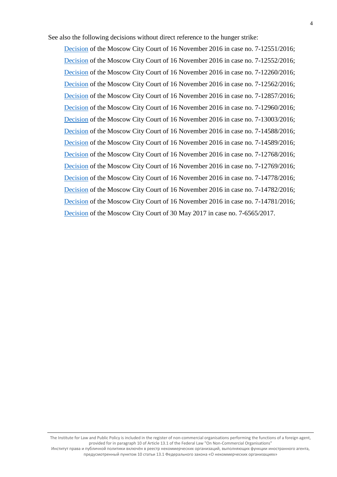See also the following decisions without direct reference to the hunger strike:

[Decision](https://mos-gorsud.ru/mgs/services/cases/review-not-yet/details/34774628-20e5-402c-a4d7-77ffe858b694) of the Moscow City Court of 16 November 2016 in case no. 7-12551/2016; [Decision](https://mos-gorsud.ru/mgs/services/cases/review-not-yet/details/8c3145cc-3f0b-49b1-a107-527a7fd151ff) of the Moscow City Court of 16 November 2016 in case no. 7-12552/2016; [Decision](https://mos-gorsud.ru/mgs/services/cases/review-not-yet/details/2ab8d180-65e7-4be3-a1e2-3e10b2d8f35f) of the Moscow City Court of 16 November 2016 in case no. 7-12260/2016; [Decision](https://mos-gorsud.ru/mgs/services/cases/review-not-yet/details/606155f1-7676-417d-896a-2fab57e64878) of the Moscow City Court of 16 November 2016 in case no. 7-12562/2016; [Decision](https://mos-gorsud.ru/mgs/services/cases/review-not-yet/details/796371f5-dde2-4096-9bfa-3f9ba53bbd3c) of the Moscow City Court of 16 November 2016 in case no. 7-12857/2016; [Decision](https://mos-gorsud.ru/mgs/services/cases/review-not-yet/details/d9d14076-dca0-476e-934e-e940a4d5e000) of the Moscow City Court of 16 November 2016 in case no. 7-12960/2016; [Decision](https://mos-gorsud.ru/mgs/services/cases/review-not-yet/details/a8ba5997-39c4-45cf-9241-79908cd365e7) of the Moscow City Court of 16 November 2016 in case no. 7-13003/2016; [Decision](https://mos-gorsud.ru/mgs/services/cases/review-not-yet/details/ab36e8fe-940b-45d4-a566-0e04a79c82c9) of the Moscow City Court of 16 November 2016 in case no. 7-14588/2016; [Decision](https://mos-gorsud.ru/mgs/services/cases/review-not-yet/details/44965e89-16d2-4890-b415-1d4bfbfb5785) of the Moscow City Court of 16 November 2016 in case no. 7-14589/2016; [Decision](https://mos-gorsud.ru/mgs/services/cases/review-not-yet/details/41dcc8f6-e8f6-4c62-a793-2b9296e6e5a0) of the Moscow City Court of 16 November 2016 in case no. 7-12768/2016; [Decision](https://mos-gorsud.ru/mgs/services/cases/review-not-yet/details/34774628-20e5-402c-a4d7-77ffe858b694) of the Moscow City Court of 16 November 2016 in case no. 7-12769/2016; [Decision](https://mos-gorsud.ru/mgs/services/cases/review-not-yet/details/588868cc-3e67-42ae-b2b6-3eb982017a56) of the Moscow City Court of 16 November 2016 in case no. 7-14778/2016; [Decision](https://mos-gorsud.ru/mgs/services/cases/review-not-yet/details/11ad3f4c-8bf4-4662-83a3-ee4c0bd6aa04) of the Moscow City Court of 16 November 2016 in case no. 7-14782/2016; [Decision](https://mos-gorsud.ru/mgs/services/cases/review-not-yet/details/c6cb7beb-740f-404e-81a1-20fe86cf4850) of the Moscow City Court of 16 November 2016 in case no. 7-14781/2016; [Decision](https://mos-gorsud.ru/mgs/services/cases/review-not-yet/details/9af56abc-63a4-4a0b-8778-017622c97071) of the Moscow City Court of 30 May 2017 in case no. 7-6565/2017.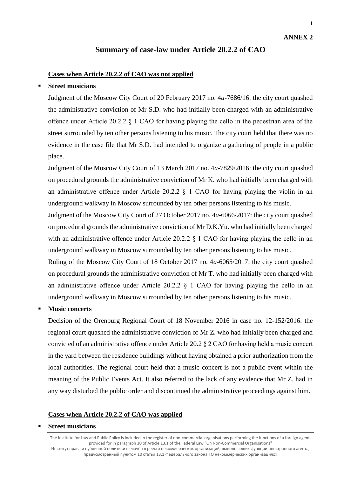1

# **Summary of case-law under Article 20.2.2 of CAO**

#### **Cases when Article 20.2.2 of CAO was not applied**

#### **Street musicians**

Judgment of the Moscow City Court of 20 February 2017 no. 4*a*-7686/16: the city court quashed the administrative conviction of Mr S.D. who had initially been charged with an administrative offence under Article 20.2.2 § 1 CAO for having playing the cello in the pedestrian area of the street surrounded by ten other persons listening to his music. The city court held that there was no evidence in the case file that Mr S.D. had intended to organize a gathering of people in a public place.

Judgment of the Moscow City Court of 13 March 2017 no. 4*a*-7829/2016: the city court quashed on procedural grounds the administrative conviction of Mr K. who had initially been charged with an administrative offence under Article 20.2.2 § 1 CAO for having playing the violin in an underground walkway in Moscow surrounded by ten other persons listening to his music.

Judgment of the Moscow City Court of 27 October 2017 no. 4*a*-6066/2017: the city court quashed on procedural grounds the administrative conviction of Mr D.K.Yu. who had initially been charged with an administrative offence under Article 20.2.2  $\S$  1 CAO for having playing the cello in an underground walkway in Moscow surrounded by ten other persons listening to his music.

Ruling of the Moscow City Court of 18 October 2017 no. 4*a*-6065/2017: the city court quashed on procedural grounds the administrative conviction of Mr T. who had initially been charged with an administrative offence under Article 20.2.2  $\S$  1 CAO for having playing the cello in an underground walkway in Moscow surrounded by ten other persons listening to his music.

#### **Music concerts**

Decision of the Orenburg Regional Court of 18 November 2016 in case no. 12-152/2016: the regional court quashed the administrative conviction of Mr Z. who had initially been charged and convicted of an administrative offence under Article 20.2 § 2 CAO for having held a music concert in the yard between the residence buildings without having obtained a prior authorization from the local authorities. The regional court held that a music concert is not a public event within the meaning of the Public Events Act. It also referred to the lack of any evidence that Mr Z. had in any way disturbed the public order and discontinued the administrative proceedings against him.

#### **Cases when Article 20.2.2 of CAO was applied**

#### **Street musicians**

The Institute for Law and Public Policy is included in the register of non-commercial organisations performing the functions of a foreign agent, provided for in paragraph 10 of Article 13.1 of the Federal Law "On Non-Commercial Organisations" Институт права и публичной политики включён в реестр некоммерческих организаций, выполняющих функции иностранного агента, предусмотренный пунктом 10 статьи 13.1 Федерального закона «О некоммерческих организациях»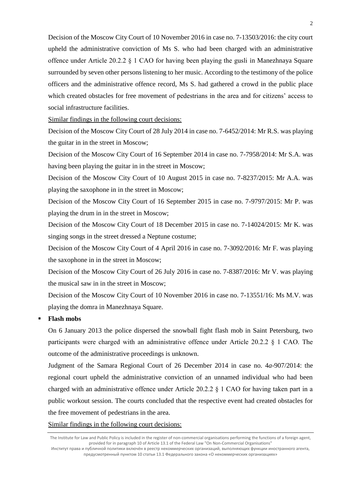Decision of the Moscow City Court of 10 November 2016 in case no. 7-13503/2016: the city court upheld the administrative conviction of Ms S. who had been charged with an administrative offence under Article 20.2.2 § 1 CAO for having been playing the gusli in Manezhnaya Square surrounded by seven other persons listening to her music. According to the testimony of the police officers and the administrative offence record, Ms S. had gathered a crowd in the public place which created obstacles for free movement of pedestrians in the area and for citizens' access to social infrastructure facilities.

Similar findings in the following court decisions:

Decision of the Moscow City Court of 28 July 2014 in case no. 7-6452/2014: Mr R.S. was playing the guitar in in the street in Moscow;

Decision of the Moscow City Court of 16 September 2014 in case no. 7-7958/2014: Mr S.A. was having been playing the guitar in in the street in Moscow;

Decision of the Moscow City Court of 10 August 2015 in case no. 7-8237/2015: Mr A.A. was playing the saxophone in in the street in Moscow;

Decision of the Moscow City Court of 16 September 2015 in case no. 7-9797/2015: Mr P. was playing the drum in in the street in Moscow;

Decision of the Moscow City Court of 18 December 2015 in case no. 7-14024/2015: Mr K. was singing songs in the street dressed a Neptune costume;

Decision of the Moscow City Court of 4 April 2016 in case no. 7-3092/2016: Mr F. was playing the saxophone in in the street in Moscow;

Decision of the Moscow City Court of 26 July 2016 in case no. 7-8387/2016: Mr V. was playing the musical saw in in the street in Moscow;

Decision of the Moscow City Court of 10 November 2016 in case no. 7-13551/16: Ms M.V. was playing the domra in Manezhnaya Square.

#### **Flash mobs**

On 6 January 2013 the police dispersed the snowball fight flash mob in Saint Petersburg, two participants were charged with an administrative offence under Article 20.2.2 § 1 CAO. The outcome of the administrative proceedings is unknown.

Judgment of the Samara Regional Court of 26 December 2014 in case no. 4*a*-907/2014: the regional court upheld the administrative conviction of an unnamed individual who had been charged with an administrative offence under Article 20.2.2 § 1 CAO for having taken part in a public workout session. The courts concluded that the respective event had created obstacles for the free movement of pedestrians in the area.

Similar findings in the following court decisions:

The Institute for Law and Public Policy is included in the register of non-commercial organisations performing the functions of a foreign agent, provided for in paragraph 10 of Article 13.1 of the Federal Law "On Non-Commercial Organisations" Институт права и публичной политики включён в реестр некоммерческих организаций, выполняющих функции иностранного агента,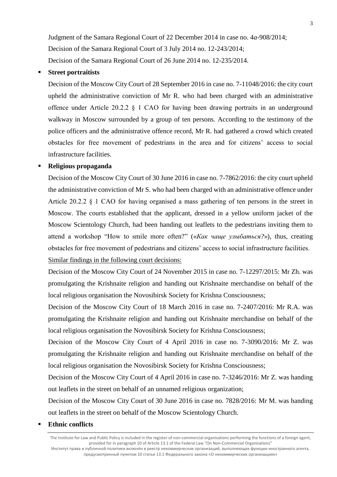Decision of the Moscow City Court of 18 March 2016 in case no. 7-2407/2016: Mr R.A. was

promulgating the Krishnaite religion and handing out Krishnaite merchandise on behalf of the local religious organisation the Novosibirsk Society for Krishna Consciousness;

Decision of the Moscow City Court of 4 April 2016 in case no. 7-3090/2016: Mr Z. was promulgating the Krishnaite religion and handing out Krishnaite merchandise on behalf of the local religious organisation the Novosibirsk Society for Krishna Consciousness;

Decision of the Moscow City Court of 4 April 2016 in case no. 7-3246/2016: Mr Z. was handing out leaflets in the street on behalf of an unnamed religious organization;

Decision of the Moscow City Court of 30 June 2016 in case no. 7828/2016: Mr M. was handing out leaflets in the street on behalf of the Moscow Scientology Church.

#### **Ethnic conflicts**

The Institute for Law and Public Policy is included in the register of non-commercial organisations performing the functions of a foreign agent, provided for in paragraph 10 of Article 13.1 of the Federal Law "On Non-Commercial Organisations" Институт права и публичной политики включён в реестр некоммерческих организаций, выполняющих функции иностранного агента, предусмотренный пунктом 10 статьи 13.1 Федерального закона «О некоммерческих организациях»

#### **Street portraitists**

Decision of the Moscow City Court of 28 September 2016 in case no. 7-11048/2016: the city court upheld the administrative conviction of Mr R. who had been charged with an administrative offence under Article 20.2.2 § 1 CAO for having been drawing portraits in an underground walkway in Moscow surrounded by a group of ten persons. According to the testimony of the police officers and the administrative offence record, Mr R. had gathered a crowd which created obstacles for free movement of pedestrians in the area and for citizens' access to social infrastructure facilities.

Judgment of the Samara Regional Court of 22 December 2014 in case no. 4*a*-908/2014;

Decision of the Samara Regional Court of 3 July 2014 no. 12-243/2014;

Decision of the Samara Regional Court of 26 June 2014 no. 12-235/2014.

#### ▪ **Religious propaganda**

Decision of the Moscow City Court of 30 June 2016 in case no. 7-7862/2016: the city court upheld the administrative conviction of Mr S. who had been charged with an administrative offence under Article 20.2.2 § 1 CAO for having organised a mass gathering of ten persons in the street in Moscow. The courts established that the applicant, dressed in a yellow uniform jacket of the Moscow Scientology Church, had been handing out leaflets to the pedestrians inviting them to attend a workshop "How to smile more often?" («*Как чаще улыбаться?*»), thus, creating obstacles for free movement of pedestrians and citizens' access to social infrastructure facilities. Similar findings in the following court decisions:

Decision of the Moscow City Court of 24 November 2015 in case no. 7-12297/2015: Mr Zh. was promulgating the Krishnaite religion and handing out Krishnaite merchandise on behalf of the local religious organisation the Novosibirsk Society for Krishna Consciousness;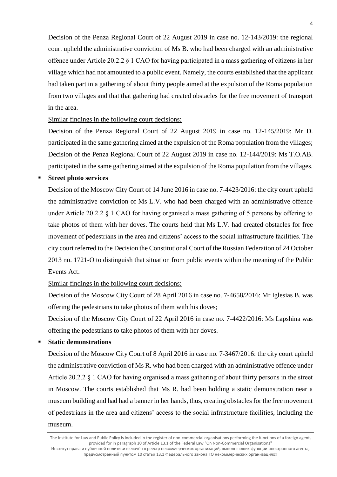Decision of the Penza Regional Court of 22 August 2019 in case no. 12-143/2019: the regional court upheld the administrative conviction of Ms B. who had been charged with an administrative offence under Article 20.2.2 § 1 CAO for having participated in a mass gathering of citizens in her village which had not amounted to a public event. Namely, the courts established that the applicant had taken part in a gathering of about thirty people aimed at the expulsion of the Roma population from two villages and that that gathering had created obstacles for the free movement of transport in the area.

#### Similar findings in the following court decisions:

Decision of the Penza Regional Court of 22 August 2019 in case no. 12-145/2019: Mr D. participated in the same gathering aimed at the expulsion of the Roma population from the villages; Decision of the Penza Regional Court of 22 August 2019 in case no. 12-144/2019: Ms T.O.AB. participated in the same gathering aimed at the expulsion of the Roma population from the villages.

#### **Street photo services**

Decision of the Moscow City Court of 14 June 2016 in case no. 7-4423/2016: the city court upheld the administrative conviction of Ms L.V. who had been charged with an administrative offence under Article 20.2.2 § 1 CAO for having organised a mass gathering of 5 persons by offering to take photos of them with her doves. The courts held that Ms L.V. had created obstacles for free movement of pedestrians in the area and citizens' access to the social infrastructure facilities. The city court referred to the Decision the Constitutional Court of the Russian Federation of 24 October 2013 no. 1721-O to distinguish that situation from public events within the meaning of the Public Events Act.

### Similar findings in the following court decisions:

Decision of the Moscow City Court of 28 April 2016 in case no. 7-4658/2016: Mr Iglesias B. was offering the pedestrians to take photos of them with his doves;

Decision of the Moscow City Court of 22 April 2016 in case no. 7-4422/2016: Ms Lapshina was offering the pedestrians to take photos of them with her doves.

#### **Static demonstrations**

Decision of the Moscow City Court of 8 April 2016 in case no. 7-3467/2016: the city court upheld the administrative conviction of Ms R. who had been charged with an administrative offence under Article 20.2.2 § 1 CAO for having organised a mass gathering of about thirty persons in the street in Moscow. The courts established that Ms R. had been holding a static demonstration near a museum building and had had a banner in her hands, thus, creating obstacles for the free movement of pedestrians in the area and citizens' access to the social infrastructure facilities, including the museum.

The Institute for Law and Public Policy is included in the register of non-commercial organisations performing the functions of a foreign agent, provided for in paragraph 10 of Article 13.1 of the Federal Law "On Non-Commercial Organisations" Институт права и публичной политики включён в реестр некоммерческих организаций, выполняющих функции иностранного агента, предусмотренный пунктом 10 статьи 13.1 Федерального закона «О некоммерческих организациях»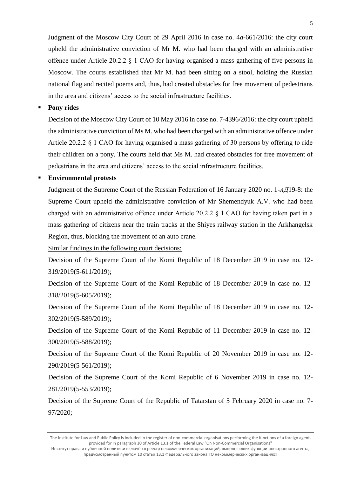Judgment of the Moscow City Court of 29 April 2016 in case no. 4*a-*661/2016: the city court upheld the administrative conviction of Mr M. who had been charged with an administrative offence under Article 20.2.2  $\S$  1 CAO for having organised a mass gathering of five persons in Moscow. The courts established that Mr M. had been sitting on a stool, holding the Russian national flag and recited poems and, thus, had created obstacles for free movement of pedestrians in the area and citizens' access to the social infrastructure facilities.

5

**Pony rides** 

Decision of the Moscow City Court of 10 May 2016 in case no. 7-4396/2016: the city court upheld the administrative conviction of Ms M. who had been charged with an administrative offence under Article 20.2.2 § 1 CAO for having organised a mass gathering of 30 persons by offering to ride their children on a pony. The courts held that Ms M. had created obstacles for free movement of pedestrians in the area and citizens' access to the social infrastructure facilities.

#### ▪ **Environmental protests**

Judgment of the Supreme Court of the Russian Federation of 16 January 2020 no. 1-*АД*19-8: the Supreme Court upheld the administrative conviction of Mr Shemendyuk A.V. who had been charged with an administrative offence under Article 20.2.2 § 1 CAO for having taken part in a mass gathering of citizens near the train tracks at the Shiyes railway station in the Arkhangelsk Region, thus, blocking the movement of an auto crane.

Similar findings in the following court decisions:

Decision of the Supreme Court of the Komi Republic of 18 December 2019 in case no. 12- 319/2019(5-611/2019);

Decision of the Supreme Court of the Komi Republic of 18 December 2019 in case no. 12- 318/2019(5-605/2019);

Decision of the Supreme Court of the Komi Republic of 18 December 2019 in case no. 12- 302/2019(5-589/2019);

Decision of the Supreme Court of the Komi Republic of 11 December 2019 in case no. 12- 300/2019(5-588/2019);

Decision of the Supreme Court of the Komi Republic of 20 November 2019 in case no. 12- 290/2019(5-561/2019);

Decision of the Supreme Court of the Komi Republic of 6 November 2019 in case no. 12- 281/2019(5-553/2019);

Decision of the Supreme Court of the Republic of Tatarstan of 5 February 2020 in case no. 7- 97/2020;

The Institute for Law and Public Policy is included in the register of non-commercial organisations performing the functions of a foreign agent, provided for in paragraph 10 of Article 13.1 of the Federal Law "On Non-Commercial Organisations" Институт права и публичной политики включён в реестр некоммерческих организаций, выполняющих функции иностранного агента,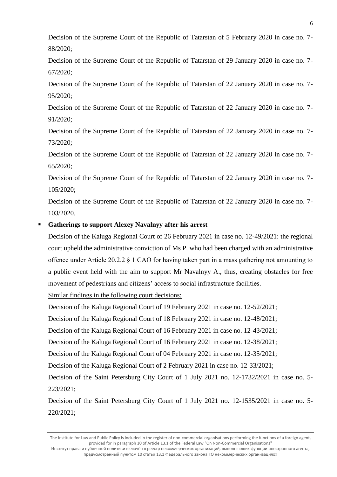Decision of the Supreme Court of the Republic of Tatarstan of 5 February 2020 in case no. 7- 88/2020;

Decision of the Supreme Court of the Republic of Tatarstan of 29 January 2020 in case no. 7- 67/2020;

Decision of the Supreme Court of the Republic of Tatarstan of 22 January 2020 in case no. 7- 95/2020;

Decision of the Supreme Court of the Republic of Tatarstan of 22 January 2020 in case no. 7- 91/2020;

Decision of the Supreme Court of the Republic of Tatarstan of 22 January 2020 in case no. 7- 73/2020;

Decision of the Supreme Court of the Republic of Tatarstan of 22 January 2020 in case no. 7- 65/2020;

Decision of the Supreme Court of the Republic of Tatarstan of 22 January 2020 in case no. 7- 105/2020;

Decision of the Supreme Court of the Republic of Tatarstan of 22 January 2020 in case no. 7- 103/2020.

# Gatherings to support Alexey Navalnyy after his arrest

Decision of the Kaluga Regional Court of 26 February 2021 in case no. 12-49/2021: the regional court upheld the administrative conviction of Ms P. who had been charged with an administrative offence under Article 20.2.2 § 1 CAO for having taken part in a mass gathering not amounting to a public event held with the aim to support Mr Navalnyy A., thus, creating obstacles for free movement of pedestrians and citizens' access to social infrastructure facilities.

Similar findings in the following court decisions:

Decision of the Kaluga Regional Court of 19 February 2021 in case no. 12-52/2021;

Decision of the Kaluga Regional Court of 18 February 2021 in case no. 12-48/2021;

Decision of the Kaluga Regional Court of 16 February 2021 in case no. 12-43/2021;

Decision of the Kaluga Regional Court of 16 February 2021 in case no. 12-38/2021;

Decision of the Kaluga Regional Court of 04 February 2021 in case no. 12-35/2021;

Decision of the Kaluga Regional Court of 2 February 2021 in case no. 12-33/2021;

Decision of the Saint Petersburg City Court of 1 July 2021 no. 12-1732/2021 in case no. 5- 223/2021;

Decision of the Saint Petersburg City Court of 1 July 2021 no. 12-1535/2021 in case no. 5- 220/2021;

The Institute for Law and Public Policy is included in the register of non-commercial organisations performing the functions of a foreign agent, provided for in paragraph 10 of Article 13.1 of the Federal Law "On Non-Commercial Organisations" Институт права и публичной политики включён в реестр некоммерческих организаций, выполняющих функции иностранного агента,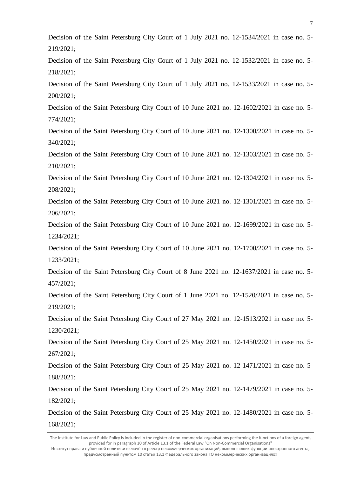Decision of the Saint Petersburg City Court of 1 July 2021 no. 12-1534/2021 in case no. 5- 219/2021;

Decision of the Saint Petersburg City Court of 1 July 2021 no. 12-1532/2021 in case no. 5- 218/2021;

Decision of the Saint Petersburg City Court of 1 July 2021 no. 12-1533/2021 in case no. 5- 200/2021;

Decision of the Saint Petersburg City Court of 10 June 2021 no. 12-1602/2021 in case no. 5- 774/2021;

Decision of the Saint Petersburg City Court of 10 June 2021 no. 12-1300/2021 in case no. 5- 340/2021;

Decision of the Saint Petersburg City Court of 10 June 2021 no. 12-1303/2021 in case no. 5- 210/2021;

Decision of the Saint Petersburg City Court of 10 June 2021 no. 12-1304/2021 in case no. 5- 208/2021;

Decision of the Saint Petersburg City Court of 10 June 2021 no. 12-1301/2021 in case no. 5- 206/2021;

Decision of the Saint Petersburg City Court of 10 June 2021 no. 12-1699/2021 in case no. 5- 1234/2021;

Decision of the Saint Petersburg City Court of 10 June 2021 no. 12-1700/2021 in case no. 5- 1233/2021;

Decision of the Saint Petersburg City Court of 8 June 2021 no. 12-1637/2021 in case no. 5- 457/2021;

Decision of the Saint Petersburg City Court of 1 June 2021 no. 12-1520/2021 in case no. 5- 219/2021;

Decision of the Saint Petersburg City Court of 27 May 2021 no. 12-1513/2021 in case no. 5- 1230/2021;

Decision of the Saint Petersburg City Court of 25 May 2021 no. 12-1450/2021 in case no. 5- 267/2021;

Decision of the Saint Petersburg City Court of 25 May 2021 no. 12-1471/2021 in case no. 5- 188/2021;

Decision of the Saint Petersburg City Court of 25 May 2021 no. 12-1479/2021 in case no. 5- 182/2021;

Decision of the Saint Petersburg City Court of 25 May 2021 no. 12-1480/2021 in case no. 5- 168/2021;

The Institute for Law and Public Policy is included in the register of non-commercial organisations performing the functions of a foreign agent, provided for in paragraph 10 of Article 13.1 of the Federal Law "On Non-Commercial Organisations"

Институт права и публичной политики включён в реестр некоммерческих организаций, выполняющих функции иностранного агента, предусмотренный пунктом 10 статьи 13.1 Федерального закона «О некоммерческих организациях»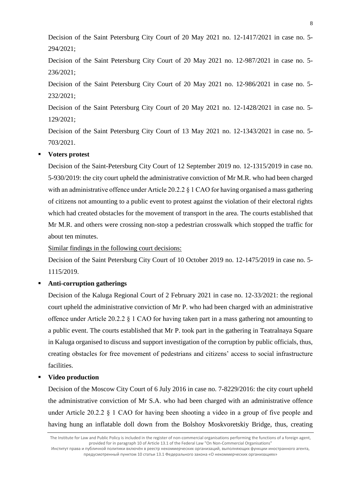Decision of the Saint Petersburg City Court of 20 May 2021 no. 12-1417/2021 in case no. 5- 294/2021;

Decision of the Saint Petersburg City Court of 20 May 2021 no. 12-987/2021 in case no. 5- 236/2021;

Decision of the Saint Petersburg City Court of 20 May 2021 no. 12-986/2021 in case no. 5- 232/2021;

Decision of the Saint Petersburg City Court of 20 May 2021 no. 12-1428/2021 in case no. 5- 129/2021;

Decision of the Saint Petersburg City Court of 13 May 2021 no. 12-1343/2021 in case no. 5- 703/2021.

# **Voters protest**

Decision of the Saint-Petersburg City Court of 12 September 2019 no. 12-1315/2019 in case no. 5-930/2019: the city court upheld the administrative conviction of Mr M.R. who had been charged with an administrative offence under Article 20.2.2  $\&$  1 CAO for having organised a mass gathering of citizens not amounting to a public event to protest against the violation of their electoral rights which had created obstacles for the movement of transport in the area. The courts established that Mr M.R. and others were crossing non-stop a pedestrian crosswalk which stopped the traffic for about ten minutes.

Similar findings in the following court decisions:

Decision of the Saint Petersburg City Court of 10 October 2019 no. 12-1475/2019 in case no. 5- 1115/2019.

### ▪ **Anti-corruption gatherings**

Decision of the Kaluga Regional Court of 2 February 2021 in case no. 12-33/2021: the regional court upheld the administrative conviction of Mr P. who had been charged with an administrative offence under Article 20.2.2 § 1 CAO for having taken part in a mass gathering not amounting to a public event. The courts established that Mr P. took part in the gathering in Teatralnaya Square in Kaluga organised to discuss and support investigation of the corruption by public officials, thus, creating obstacles for free movement of pedestrians and citizens' access to social infrastructure facilities.

#### **Video production**

Decision of the Moscow City Court of 6 July 2016 in case no. 7-8229/2016: the city court upheld the administrative conviction of Mr S.A. who had been charged with an administrative offence under Article 20.2.2  $\S$  1 CAO for having been shooting a video in a group of five people and having hung an inflatable doll down from the Bolshoy Moskvoretskiy Bridge, thus, creating

The Institute for Law and Public Policy is included in the register of non-commercial organisations performing the functions of a foreign agent, provided for in paragraph 10 of Article 13.1 of the Federal Law "On Non-Commercial Organisations" Институт права и публичной политики включён в реестр некоммерческих организаций, выполняющих функции иностранного агента,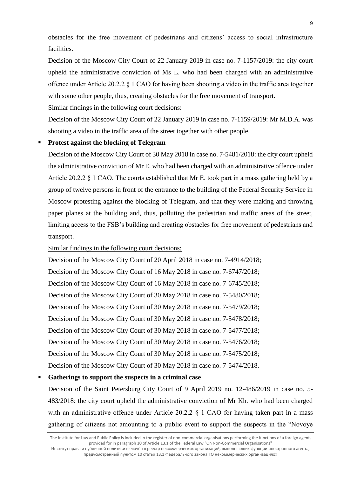obstacles for the free movement of pedestrians and citizens' access to social infrastructure facilities.

Decision of the Moscow City Court of 22 January 2019 in case no. 7-1157/2019: the city court upheld the administrative conviction of Ms L. who had been charged with an administrative offence under Article 20.2.2 § 1 CAO for having been shooting a video in the traffic area together with some other people, thus, creating obstacles for the free movement of transport.

Similar findings in the following court decisions:

Decision of the Moscow City Court of 22 January 2019 in case no. 7-1159/2019: Mr M.D.A. was shooting a video in the traffic area of the street together with other people.

#### Protest against the blocking of Telegram

Decision of the Moscow City Court of 30 May 2018 in case no. 7-5481/2018: the city court upheld the administrative conviction of Mr E. who had been charged with an administrative offence under Article 20.2.2 § 1 CAO. The courts established that Mr E. took part in a mass gathering held by a group of twelve persons in front of the entrance to the building of the Federal Security Service in Moscow protesting against the blocking of Telegram, and that they were making and throwing paper planes at the building and, thus, polluting the pedestrian and traffic areas of the street, limiting access to the FSB's building and creating obstacles for free movement of pedestrians and transport.

Similar findings in the following court decisions:

Decision of the Moscow City Court of 20 April 2018 in case no. 7-4914/2018; Decision of the Moscow City Court of 16 May 2018 in case no. 7-6747/2018; Decision of the Moscow City Court of 16 May 2018 in case no. 7-6745/2018; Decision of the Moscow City Court of 30 May 2018 in case no. 7-5480/2018; Decision of the Moscow City Court of 30 May 2018 in case no. 7-5479/2018; Decision of the Moscow City Court of 30 May 2018 in case no. 7-5478/2018; Decision of the Moscow City Court of 30 May 2018 in case no. 7-5477/2018; Decision of the Moscow City Court of 30 May 2018 in case no. 7-5476/2018; Decision of the Moscow City Court of 30 May 2018 in case no. 7-5475/2018; Decision of the Moscow City Court of 30 May 2018 in case no. 7-5474/2018.

#### Gatherings to support the suspects in a criminal case

Decision of the Saint Petersburg City Court of 9 April 2019 no. 12-486/2019 in case no. 5- 483/2018: the city court upheld the administrative conviction of Mr Kh. who had been charged with an administrative offence under Article 20.2.2  $\S$  1 CAO for having taken part in a mass gathering of citizens not amounting to a public event to support the suspects in the "Novoye